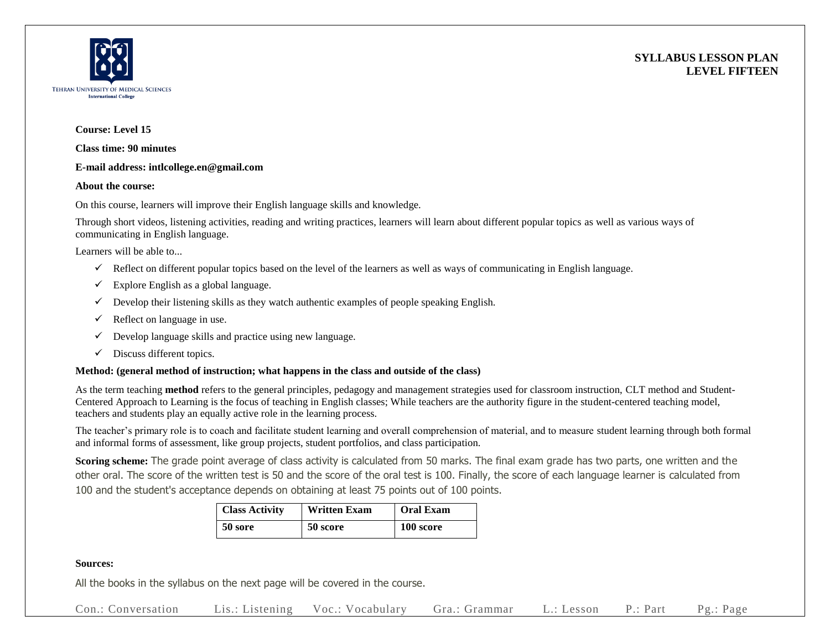



## **Course: Level 15**

**Class time: 90 minutes**

#### **E-mail address: intlcollege.en@gmail.com**

#### **About the course:**

On this course, learners will improve their English language skills and knowledge.

Through short videos, listening activities, reading and writing practices, learners will learn about different popular topics as well as various ways of communicating in English language.

Learners will be able to...

- $\checkmark$  Reflect on different popular topics based on the level of the learners as well as ways of communicating in English language.
- $\checkmark$  Explore English as a global language.
- $\checkmark$  Develop their listening skills as they watch authentic examples of people speaking English.
- $\checkmark$  Reflect on language in use.
- $\checkmark$  Develop language skills and practice using new language.
- $\checkmark$  Discuss different topics.

## **Method: (general method of instruction; what happens in the class and outside of the class)**

As the term teaching **method** refers to the general principles, pedagogy and management strategies used for classroom instruction, CLT method and Student-Centered Approach to Learning is the focus of teaching in English classes; While teachers are the authority figure in the student-centered teaching model, teachers and students play an equally active role in the learning process.

The teacher's primary role is to coach and facilitate student learning and overall comprehension of material, and to measure student learning through both formal and informal forms of assessment, like group projects, student portfolios, and class participation.

**Scoring scheme:** The grade point average of class activity is calculated from 50 marks. The final exam grade has two parts, one written and the other oral. The score of the written test is 50 and the score of the oral test is 100. Finally, the score of each language learner is calculated from 100 and the student's acceptance depends on obtaining at least 75 points out of 100 points.

| <b>Class Activity</b> | <b>Written Exam</b> | <b>Oral Exam</b> |  |
|-----------------------|---------------------|------------------|--|
| 50 sore               | 50 score            | 100 score        |  |

## **Sources:**

All the books in the syllabus on the next page will be covered in the course.

Con.: Conversation Lis.: Listening Voc.: Vocabulary Gra.: Grammar L.: Lesson P.: Part Pg.: Page